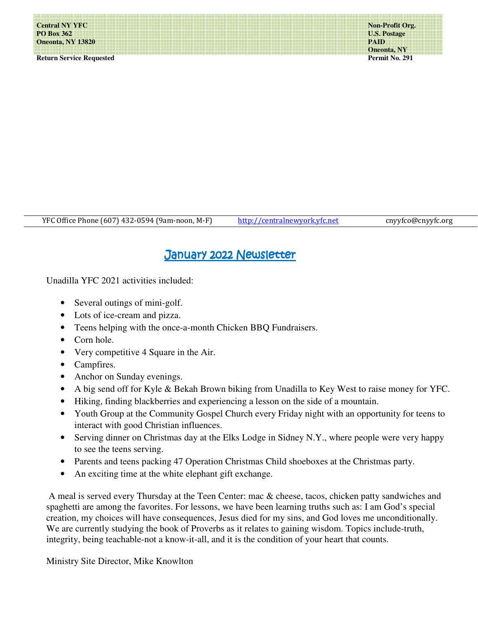**Non-Profit Org. U.S. Postage PAID Oneonta, NY Permit No. 291** 

YFC Office Phone (607) 432-0594 (9am-noon, M-F) http://centralnewyork.yfc.net cnyyfco@cnyyfc.org I

## January 2022 Newsletter

Unadilla YFC 2021 activities included:

- Several outings of mini-golf.
- Lots of ice-cream and pizza.
- Teens helping with the once-a-month Chicken BBQ Fundraisers.
- Corn hole.
- Very competitive 4 Square in the Air.
- Campfires.
- Anchor on Sunday evenings.
- A big send off for Kyle & Bekah Brown biking from Unadilla to Key West to raise money for YFC.
- Hiking, finding blackberries and experiencing a lesson on the side of a mountain.
- Youth Group at the Community Gospel Church every Friday night with an opportunity for teens to interact with good Christian influences.
- Serving dinner on Christmas day at the Elks Lodge in Sidney N.Y., where people were very happy to see the teens serving.
- Parents and teens packing 47 Operation Christmas Child shoeboxes at the Christmas party.
- An exciting time at the white elephant gift exchange.

 A meal is served every Thursday at the Teen Center: mac & cheese, tacos, chicken patty sandwiches and spaghetti are among the favorites. For lessons, we have been learning truths such as: I am God's special creation, my choices will have consequences, Jesus died for my sins, and God loves me unconditionally. We are currently studying the book of Proverbs as it relates to gaining wisdom. Topics include-truth, integrity, being teachable-not a know-it-all, and it is the condition of your heart that counts.

Ministry Site Director, Mike Knowlton